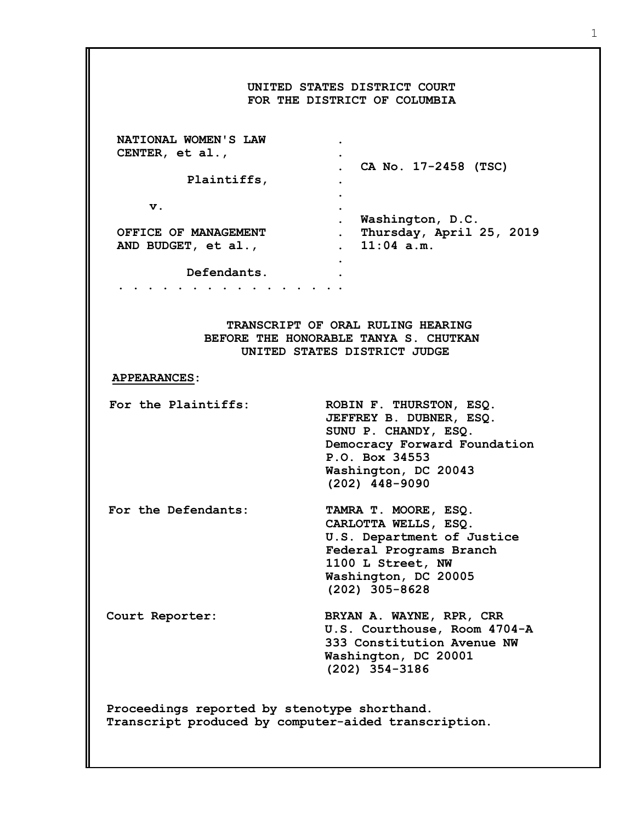| UNITED STATES DISTRICT COURT<br>FOR THE DISTRICT OF COLUMBIA                                                              |                                                                                                                                                                          |
|---------------------------------------------------------------------------------------------------------------------------|--------------------------------------------------------------------------------------------------------------------------------------------------------------------------|
|                                                                                                                           |                                                                                                                                                                          |
| NATIONAL WOMEN'S LAW                                                                                                      |                                                                                                                                                                          |
| CENTER, et al.,                                                                                                           |                                                                                                                                                                          |
|                                                                                                                           | . CA No. 17-2458 (TSC)                                                                                                                                                   |
| Plaintiffs,                                                                                                               |                                                                                                                                                                          |
| v.                                                                                                                        |                                                                                                                                                                          |
|                                                                                                                           | $\bullet$<br>. Washington, D.C.                                                                                                                                          |
| OFFICE OF MANAGEMENT                                                                                                      | . Thursday, April 25, 2019                                                                                                                                               |
| AND BUDGET, et al.,                                                                                                       | . 11:04 a.m.                                                                                                                                                             |
|                                                                                                                           |                                                                                                                                                                          |
| Defendants.                                                                                                               |                                                                                                                                                                          |
| $\begin{array}{cccccccccccccc} \bullet & \bullet & \bullet & \bullet & \bullet & \bullet & \bullet & \bullet \end{array}$ |                                                                                                                                                                          |
|                                                                                                                           |                                                                                                                                                                          |
| TRANSCRIPT OF ORAL RULING HEARING<br>BEFORE THE HONORABLE TANYA S. CHUTKAN<br>UNITED STATES DISTRICT JUDGE                |                                                                                                                                                                          |
| <b>APPEARANCES:</b>                                                                                                       |                                                                                                                                                                          |
| For the Plaintiffs:                                                                                                       | ROBIN F. THURSTON, ESQ.<br>JEFFREY B. DUBNER, ESQ.<br>SUNU P. CHANDY, ESQ.<br>Democracy Forward Foundation<br>P.O. Box 34553<br>Washington, DC 20043<br>$(202)$ 448-9090 |
| For the Defendants:                                                                                                       | TAMRA T. MOORE, ESQ.<br>CARLOTTA WELLS, ESQ.<br>U.S. Department of Justice<br>Federal Programs Branch<br>1100 L Street, NW<br>Washington, DC 20005<br>$(202)$ 305-8628   |
| Court Reporter:                                                                                                           | BRYAN A. WAYNE, RPR, CRR<br>U.S. Courthouse, Room 4704-A<br>333 Constitution Avenue NW<br>Washington, DC 20001<br>$(202)$ 354-3186                                       |
| Proceedings reported by stenotype shorthand.<br>Transcript produced by computer-aided transcription.                      |                                                                                                                                                                          |

1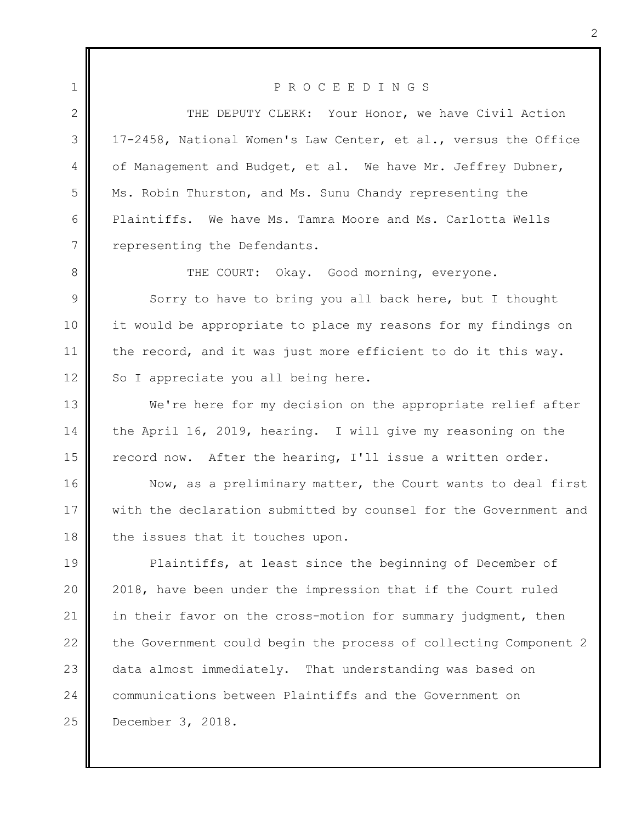1 2 3 4 5 6 7 P R O C E E D I N G S THE DEPUTY CLERK: Your Honor, we have Civil Action 17-2458, National Women's Law Center, et al., versus the Office of Management and Budget, et al. We have Mr. Jeffrey Dubner, Ms. Robin Thurston, and Ms. Sunu Chandy representing the Plaintiffs. We have Ms. Tamra Moore and Ms. Carlotta Wells representing the Defendants.

8 9 10 11 12 THE COURT: Okay. Good morning, everyone. Sorry to have to bring you all back here, but I thought it would be appropriate to place my reasons for my findings on the record, and it was just more efficient to do it this way. So I appreciate you all being here.

13 14 15 We're here for my decision on the appropriate relief after the April 16, 2019, hearing. I will give my reasoning on the record now. After the hearing, I'll issue a written order.

16 17 18 Now, as a preliminary matter, the Court wants to deal first with the declaration submitted by counsel for the Government and the issues that it touches upon.

19 20 21 22 23 24 25 Plaintiffs, at least since the beginning of December of 2018, have been under the impression that if the Court ruled in their favor on the cross-motion for summary judgment, then the Government could begin the process of collecting Component 2 data almost immediately. That understanding was based on communications between Plaintiffs and the Government on December 3, 2018.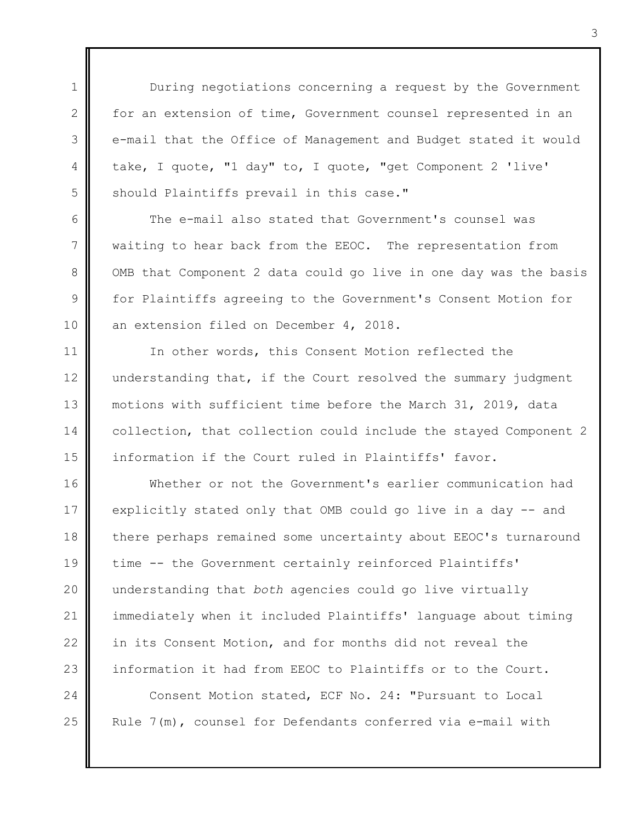During negotiations concerning a request by the Government for an extension of time, Government counsel represented in an e-mail that the Office of Management and Budget stated it would take, I quote, "1 day" to, I quote, "get Component 2 'live' should Plaintiffs prevail in this case."

1

 $\mathcal{P}$ 

3

4

5

6

7

8

9

10

25

The e-mail also stated that Government's counsel was waiting to hear back from the EEOC. The representation from OMB that Component 2 data could go live in one day was the basis for Plaintiffs agreeing to the Government's Consent Motion for an extension filed on December 4, 2018.

11 12 13 14 15 In other words, this Consent Motion reflected the understanding that, if the Court resolved the summary judgment motions with sufficient time before the March 31, 2019, data collection, that collection could include the stayed Component 2 information if the Court ruled in Plaintiffs' favor.

16 17 18 19 20 21 22 23 24 Whether or not the Government's earlier communication had explicitly stated only that OMB could go live in a day -- and there perhaps remained some uncertainty about EEOC's turnaround time -- the Government certainly reinforced Plaintiffs' understanding that *both* agencies could go live virtually immediately when it included Plaintiffs' language about timing in its Consent Motion, and for months did not reveal the information it had from EEOC to Plaintiffs or to the Court. Consent Motion stated, ECF No. 24: "Pursuant to Local

3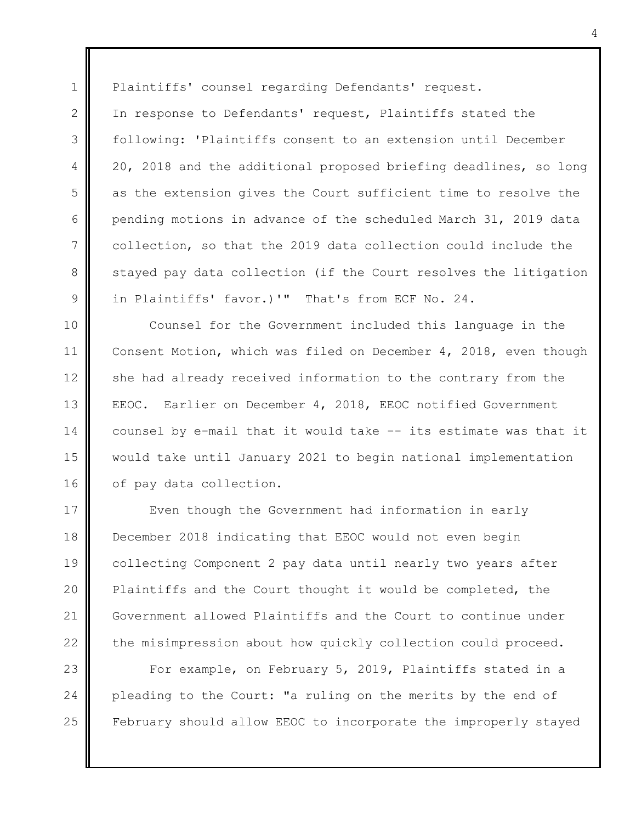Plaintiffs' counsel regarding Defendants' request.

1

2

3

4

5

6

7

8

9

In response to Defendants' request, Plaintiffs stated the following: 'Plaintiffs consent to an extension until December 20, 2018 and the additional proposed briefing deadlines, so long as the extension gives the Court sufficient time to resolve the pending motions in advance of the scheduled March 31, 2019 data collection, so that the 2019 data collection could include the stayed pay data collection (if the Court resolves the litigation in Plaintiffs' favor.)'" That's from ECF No. 24.

10 11 12 13 14 15 16 Counsel for the Government included this language in the Consent Motion, which was filed on December 4, 2018, even though she had already received information to the contrary from the EEOC. Earlier on December 4, 2018, EEOC notified Government counsel by e-mail that it would take -- its estimate was that it would take until January 2021 to begin national implementation of pay data collection.

17 18 19 20 21 22 Even though the Government had information in early December 2018 indicating that EEOC would not even begin collecting Component 2 pay data until nearly two years after Plaintiffs and the Court thought it would be completed, the Government allowed Plaintiffs and the Court to continue under the misimpression about how quickly collection could proceed.

23 24 25 For example, on February 5, 2019, Plaintiffs stated in a pleading to the Court: "a ruling on the merits by the end of February should allow EEOC to incorporate the improperly stayed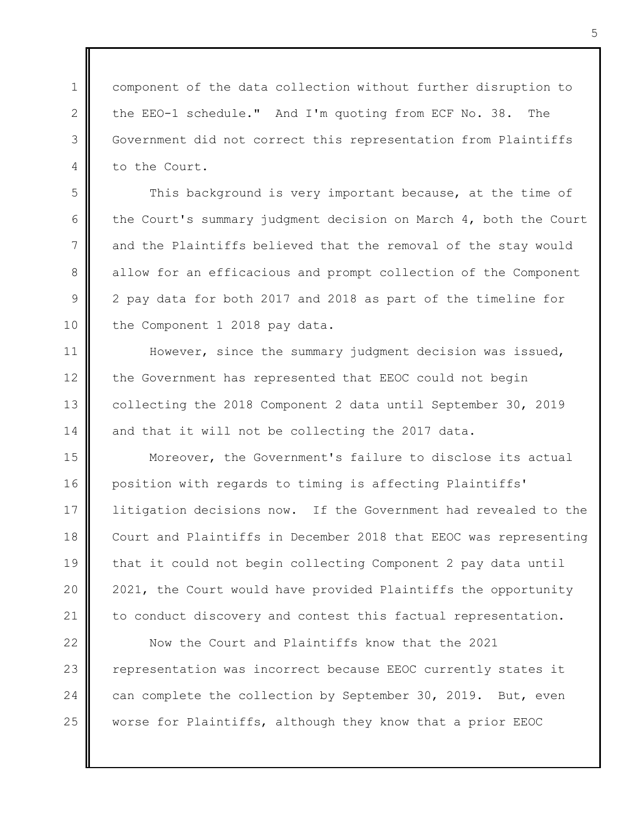component of the data collection without further disruption to the EEO-1 schedule." And I'm quoting from ECF No. 38. The Government did not correct this representation from Plaintiffs to the Court.

1

 $\mathcal{P}$ 

3

4

5

6

7

8

9

10

11

12

13

14

This background is very important because, at the time of the Court's summary judgment decision on March 4, both the Court and the Plaintiffs believed that the removal of the stay would allow for an efficacious and prompt collection of the Component 2 pay data for both 2017 and 2018 as part of the timeline for the Component 1 2018 pay data.

However, since the summary judgment decision was issued, the Government has represented that EEOC could not begin collecting the 2018 Component 2 data until September 30, 2019 and that it will not be collecting the 2017 data.

15 16 17 18 19 20 21 Moreover, the Government's failure to disclose its actual position with regards to timing is affecting Plaintiffs' litigation decisions now. If the Government had revealed to the Court and Plaintiffs in December 2018 that EEOC was representing that it could not begin collecting Component 2 pay data until 2021, the Court would have provided Plaintiffs the opportunity to conduct discovery and contest this factual representation.

22 23 24 25 Now the Court and Plaintiffs know that the 2021 representation was incorrect because EEOC currently states it can complete the collection by September 30, 2019. But, even worse for Plaintiffs, although they know that a prior EEOC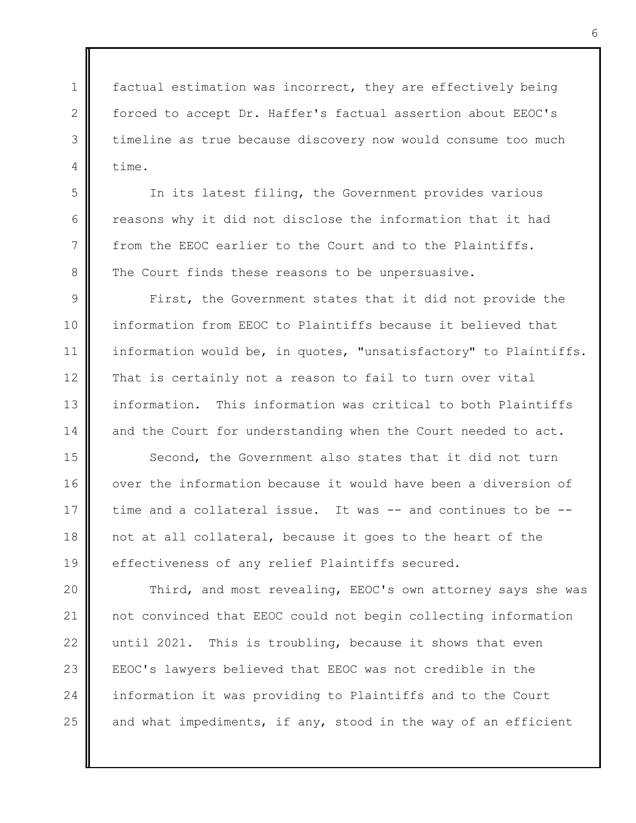2 factual estimation was incorrect, they are effectively being forced to accept Dr. Haffer's factual assertion about EEOC's timeline as true because discovery now would consume too much time.

1

3

4

5

6

7

8

In its latest filing, the Government provides various reasons why it did not disclose the information that it had from the EEOC earlier to the Court and to the Plaintiffs. The Court finds these reasons to be unpersuasive.

9 10 11 12 13 14 First, the Government states that it did not provide the information from EEOC to Plaintiffs because it believed that information would be, in quotes, "unsatisfactory" to Plaintiffs. That is certainly not a reason to fail to turn over vital information. This information was critical to both Plaintiffs and the Court for understanding when the Court needed to act.

15 16 17 18 19 Second, the Government also states that it did not turn over the information because it would have been a diversion of time and a collateral issue. It was -- and continues to be -not at all collateral, because it goes to the heart of the effectiveness of any relief Plaintiffs secured.

20 21 22 23 24 25 Third, and most revealing, EEOC's own attorney says she was not convinced that EEOC could not begin collecting information until 2021. This is troubling, because it shows that even EEOC's lawyers believed that EEOC was not credible in the information it was providing to Plaintiffs and to the Court and what impediments, if any, stood in the way of an efficient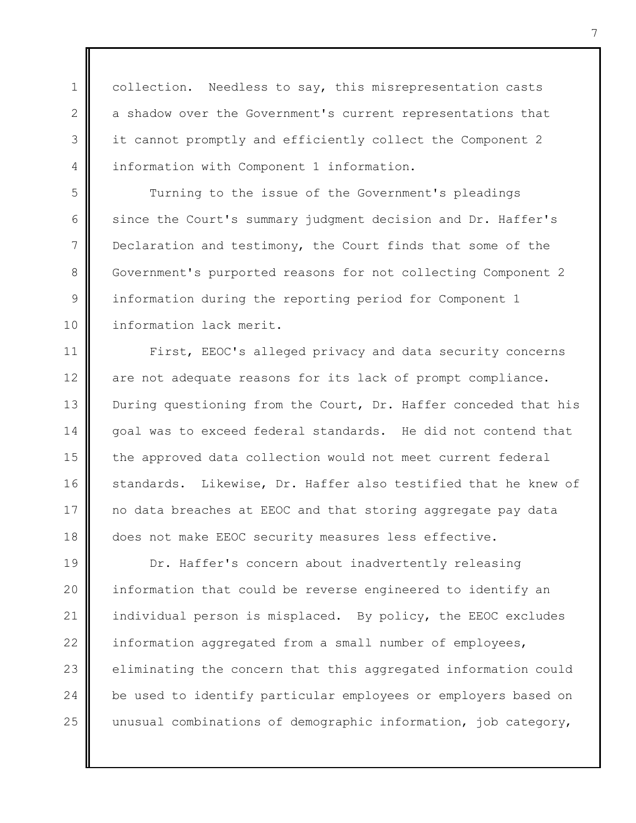collection. Needless to say, this misrepresentation casts a shadow over the Government's current representations that it cannot promptly and efficiently collect the Component 2 information with Component 1 information.

1

 $\mathfrak{D}$ 

3

4

5

6

7

8

9

10

Turning to the issue of the Government's pleadings since the Court's summary judgment decision and Dr. Haffer's Declaration and testimony, the Court finds that some of the Government's purported reasons for not collecting Component 2 information during the reporting period for Component 1 information lack merit.

11 12 13 14 15 16 17 18 First, EEOC's alleged privacy and data security concerns are not adequate reasons for its lack of prompt compliance. During questioning from the Court, Dr. Haffer conceded that his goal was to exceed federal standards. He did not contend that the approved data collection would not meet current federal standards. Likewise, Dr. Haffer also testified that he knew of no data breaches at EEOC and that storing aggregate pay data does not make EEOC security measures less effective.

19 20 21 22 23 24 25 Dr. Haffer's concern about inadvertently releasing information that could be reverse engineered to identify an individual person is misplaced. By policy, the EEOC excludes information aggregated from a small number of employees, eliminating the concern that this aggregated information could be used to identify particular employees or employers based on unusual combinations of demographic information, job category,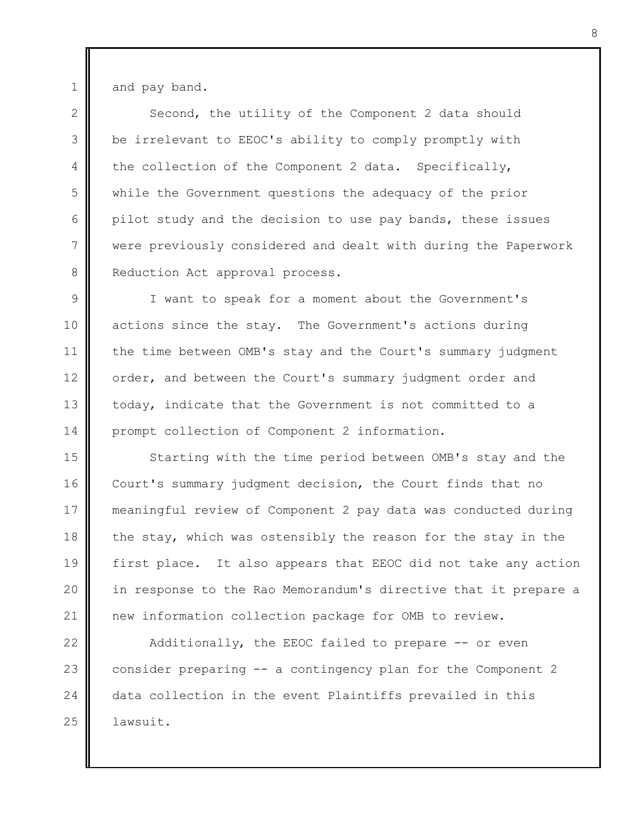and pay band.

1

 $\mathfrak{D}$ 3 4 5 6 7 8 Second, the utility of the Component 2 data should be irrelevant to EEOC's ability to comply promptly with the collection of the Component 2 data. Specifically, while the Government questions the adequacy of the prior pilot study and the decision to use pay bands, these issues were previously considered and dealt with during the Paperwork Reduction Act approval process.

9 10 11 12 13 14 I want to speak for a moment about the Government's actions since the stay. The Government's actions during the time between OMB's stay and the Court's summary judgment order, and between the Court's summary judgment order and today, indicate that the Government is not committed to a prompt collection of Component 2 information.

15 16 17 18 19 20 21 Starting with the time period between OMB's stay and the Court's summary judgment decision, the Court finds that no meaningful review of Component 2 pay data was conducted during the stay, which was ostensibly the reason for the stay in the first place. It also appears that EEOC did not take any action in response to the Rao Memorandum's directive that it prepare a new information collection package for OMB to review.

22 23 24 25 Additionally, the EEOC failed to prepare -- or even consider preparing -- a contingency plan for the Component 2 data collection in the event Plaintiffs prevailed in this lawsuit.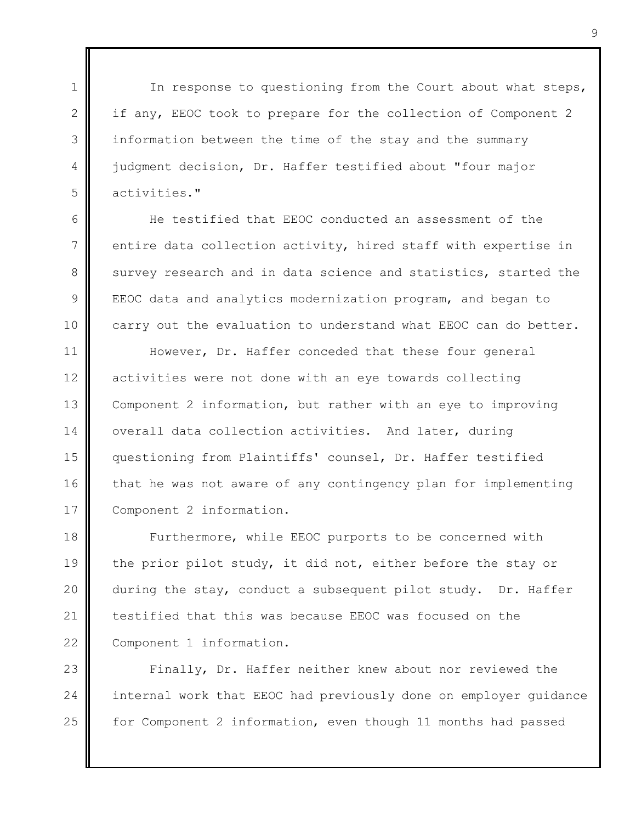In response to questioning from the Court about what steps, if any, EEOC took to prepare for the collection of Component 2 information between the time of the stay and the summary judgment decision, Dr. Haffer testified about "four major activities."

1

 $\mathcal{P}$ 

3

4

5

6

7

8

9

10

He testified that EEOC conducted an assessment of the entire data collection activity, hired staff with expertise in survey research and in data science and statistics, started the EEOC data and analytics modernization program, and began to carry out the evaluation to understand what EEOC can do better.

11 12 13 14 15 16 17 However, Dr. Haffer conceded that these four general activities were not done with an eye towards collecting Component 2 information, but rather with an eye to improving overall data collection activities. And later, during questioning from Plaintiffs' counsel, Dr. Haffer testified that he was not aware of any contingency plan for implementing Component 2 information.

18 19 20 21 22 Furthermore, while EEOC purports to be concerned with the prior pilot study, it did not, either before the stay or during the stay, conduct a subsequent pilot study. Dr. Haffer testified that this was because EEOC was focused on the Component 1 information.

23 24 25 Finally, Dr. Haffer neither knew about nor reviewed the internal work that EEOC had previously done on employer guidance for Component 2 information, even though 11 months had passed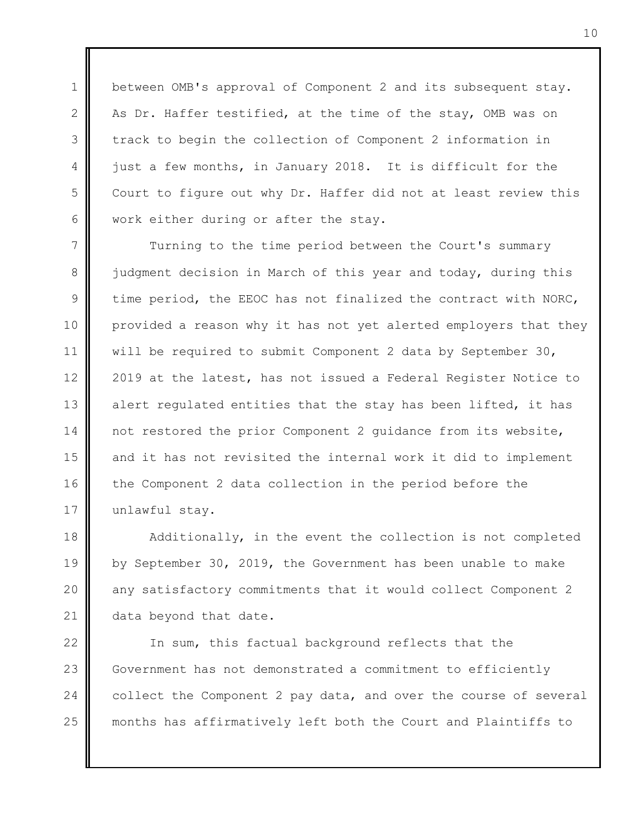between OMB's approval of Component 2 and its subsequent stay. As Dr. Haffer testified, at the time of the stay, OMB was on track to begin the collection of Component 2 information in just a few months, in January 2018. It is difficult for the Court to figure out why Dr. Haffer did not at least review this work either during or after the stay.

1

 $\mathcal{P}$ 

3

4

5

6

7 8 9 10 11 12 13 14 15 16 17 Turning to the time period between the Court's summary judgment decision in March of this year and today, during this time period, the EEOC has not finalized the contract with NORC, provided a reason why it has not yet alerted employers that they will be required to submit Component 2 data by September 30, 2019 at the latest, has not issued a Federal Register Notice to alert regulated entities that the stay has been lifted, it has not restored the prior Component 2 guidance from its website, and it has not revisited the internal work it did to implement the Component 2 data collection in the period before the unlawful stay.

18 19 20 21 Additionally, in the event the collection is not completed by September 30, 2019, the Government has been unable to make any satisfactory commitments that it would collect Component 2 data beyond that date.

22 23 24 25 In sum, this factual background reflects that the Government has not demonstrated a commitment to efficiently collect the Component 2 pay data, and over the course of several months has affirmatively left both the Court and Plaintiffs to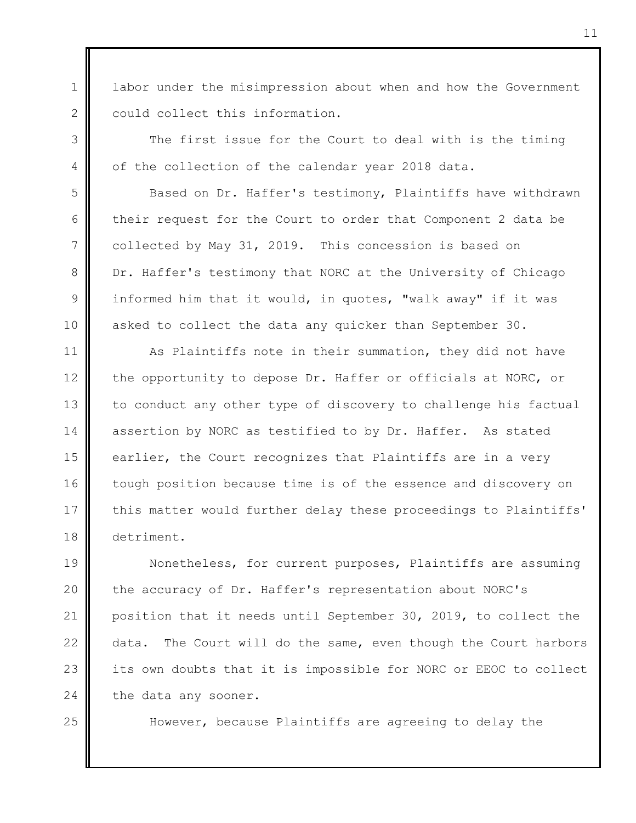labor under the misimpression about when and how the Government could collect this information.

1

 $\mathcal{P}$ 

3

4

5

6

7

8

9

10

25

The first issue for the Court to deal with is the timing of the collection of the calendar year 2018 data.

Based on Dr. Haffer's testimony, Plaintiffs have withdrawn their request for the Court to order that Component 2 data be collected by May 31, 2019. This concession is based on Dr. Haffer's testimony that NORC at the University of Chicago informed him that it would, in quotes, "walk away" if it was asked to collect the data any quicker than September 30.

11 12 13 14 15 16 17 18 As Plaintiffs note in their summation, they did not have the opportunity to depose Dr. Haffer or officials at NORC, or to conduct any other type of discovery to challenge his factual assertion by NORC as testified to by Dr. Haffer. As stated earlier, the Court recognizes that Plaintiffs are in a very tough position because time is of the essence and discovery on this matter would further delay these proceedings to Plaintiffs' detriment.

19 20 21 22 23 24 Nonetheless, for current purposes, Plaintiffs are assuming the accuracy of Dr. Haffer's representation about NORC's position that it needs until September 30, 2019, to collect the data. The Court will do the same, even though the Court harbors its own doubts that it is impossible for NORC or EEOC to collect the data any sooner.

However, because Plaintiffs are agreeing to delay the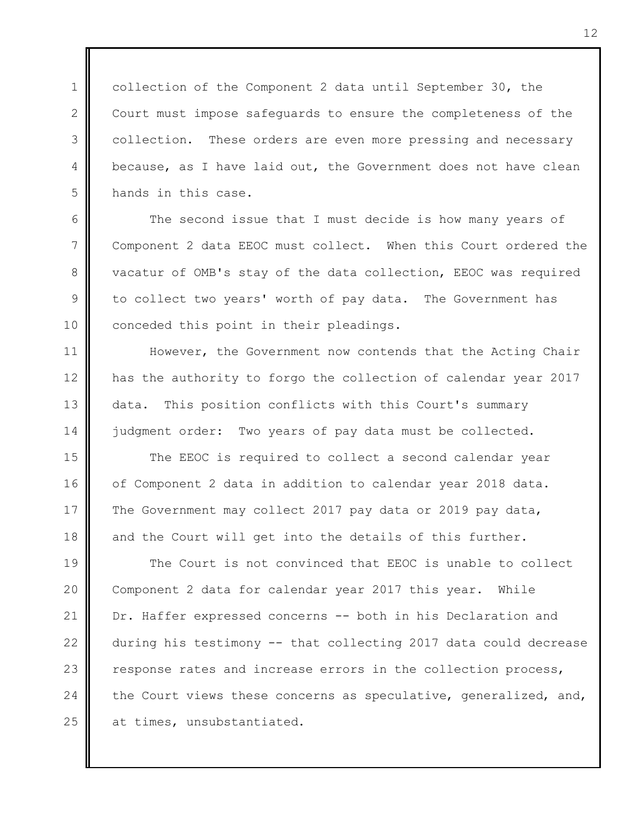1  $\mathcal{P}$ 3 4 5 collection of the Component 2 data until September 30, the Court must impose safeguards to ensure the completeness of the collection. These orders are even more pressing and necessary because, as I have laid out, the Government does not have clean hands in this case.

6 7 The second issue that I must decide is how many years of Component 2 data EEOC must collect. When this Court ordered the vacatur of OMB's stay of the data collection, EEOC was required to collect two years' worth of pay data. The Government has conceded this point in their pleadings.

8

9

10

11

12

13

14

However, the Government now contends that the Acting Chair has the authority to forgo the collection of calendar year 2017 data. This position conflicts with this Court's summary judgment order: Two years of pay data must be collected.

15 16 17 18 The EEOC is required to collect a second calendar year of Component 2 data in addition to calendar year 2018 data. The Government may collect 2017 pay data or 2019 pay data, and the Court will get into the details of this further.

19 20 21 22 23 24 25 The Court is not convinced that EEOC is unable to collect Component 2 data for calendar year 2017 this year. While Dr. Haffer expressed concerns -- both in his Declaration and during his testimony -- that collecting 2017 data could decrease response rates and increase errors in the collection process, the Court views these concerns as speculative, generalized, and, at times, unsubstantiated.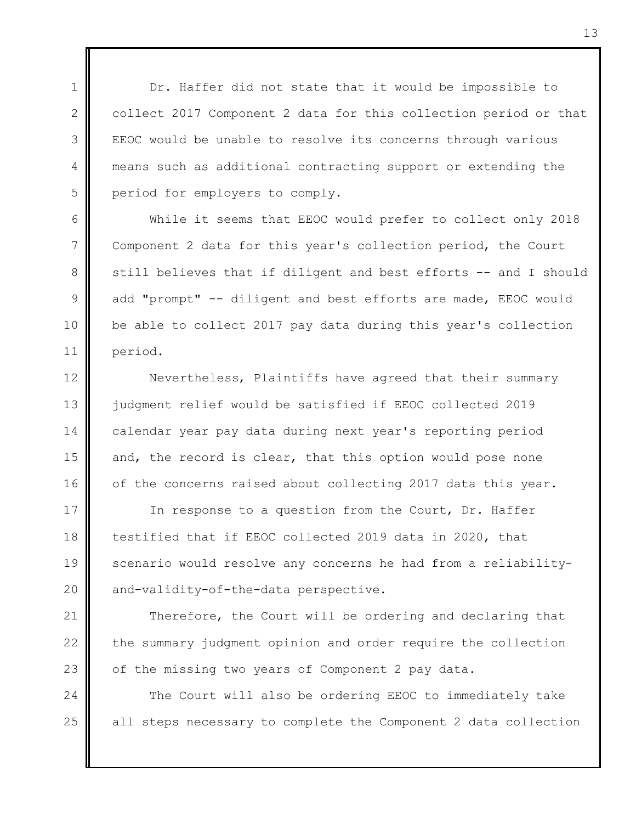Dr. Haffer did not state that it would be impossible to collect 2017 Component 2 data for this collection period or that EEOC would be unable to resolve its concerns through various means such as additional contracting support or extending the period for employers to comply.

1

 $\mathcal{P}$ 

3

4

5

6

7

8

9

10

11

While it seems that EEOC would prefer to collect only 2018 Component 2 data for this year's collection period, the Court still believes that if diligent and best efforts -- and I should add "prompt" -- diligent and best efforts are made, EEOC would be able to collect 2017 pay data during this year's collection period.

12 13 14 15 16 Nevertheless, Plaintiffs have agreed that their summary judgment relief would be satisfied if EEOC collected 2019 calendar year pay data during next year's reporting period and, the record is clear, that this option would pose none of the concerns raised about collecting 2017 data this year.

17 18 19 20 In response to a question from the Court, Dr. Haffer testified that if EEOC collected 2019 data in 2020, that scenario would resolve any concerns he had from a reliabilityand-validity-of-the-data perspective.

21 22 23 Therefore, the Court will be ordering and declaring that the summary judgment opinion and order require the collection of the missing two years of Component 2 pay data.

24 25 The Court will also be ordering EEOC to immediately take all steps necessary to complete the Component 2 data collection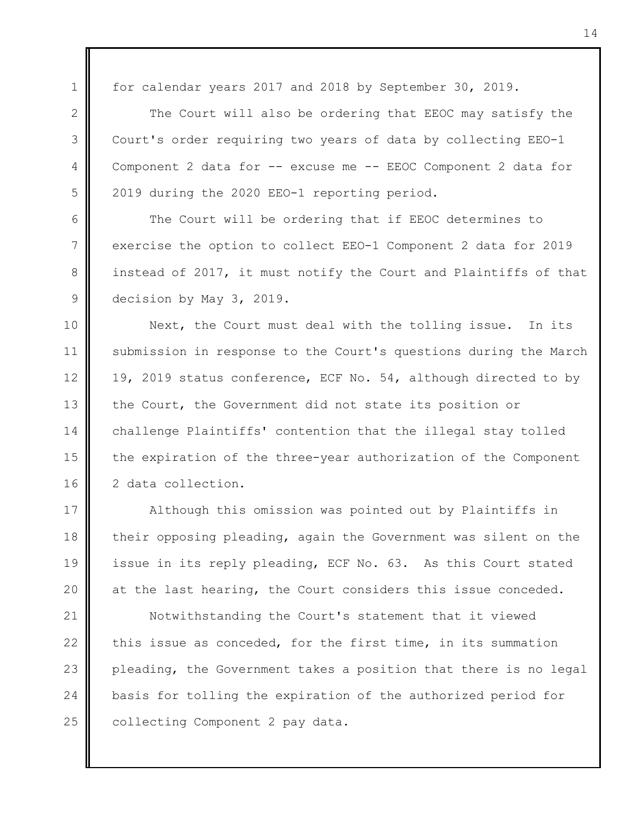1  $\mathfrak{D}$ 

3

4

5

6

7

8

9

for calendar years 2017 and 2018 by September 30, 2019.

The Court will also be ordering that EEOC may satisfy the Court's order requiring two years of data by collecting EEO-1 Component 2 data for -- excuse me -- EEOC Component 2 data for 2019 during the 2020 EEO-1 reporting period.

The Court will be ordering that if EEOC determines to exercise the option to collect EEO-1 Component 2 data for 2019 instead of 2017, it must notify the Court and Plaintiffs of that decision by May 3, 2019.

10 11 12 13 14 15 16 Next, the Court must deal with the tolling issue. In its submission in response to the Court's questions during the March 19, 2019 status conference, ECF No. 54, although directed to by the Court, the Government did not state its position or challenge Plaintiffs' contention that the illegal stay tolled the expiration of the three-year authorization of the Component 2 data collection.

17 18 19 20 Although this omission was pointed out by Plaintiffs in their opposing pleading, again the Government was silent on the issue in its reply pleading, ECF No. 63. As this Court stated at the last hearing, the Court considers this issue conceded.

21 22 23 24 25 Notwithstanding the Court's statement that it viewed this issue as conceded, for the first time, in its summation pleading, the Government takes a position that there is no legal basis for tolling the expiration of the authorized period for collecting Component 2 pay data.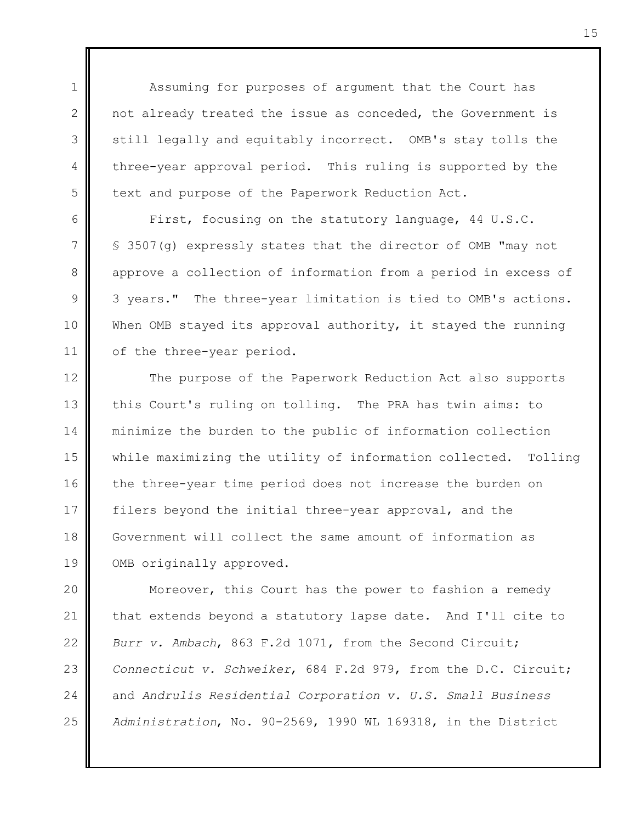Assuming for purposes of argument that the Court has not already treated the issue as conceded, the Government is still legally and equitably incorrect. OMB's stay tolls the three-year approval period. This ruling is supported by the text and purpose of the Paperwork Reduction Act.

1

 $\mathcal{P}$ 

3

4

5

6

7

8

9

10

11

First, focusing on the statutory language, 44 U.S.C. § 3507(g) expressly states that the director of OMB "may not approve a collection of information from a period in excess of 3 years." The three-year limitation is tied to OMB's actions. When OMB stayed its approval authority, it stayed the running of the three-year period.

12 13 14 15 16 17 18 19 The purpose of the Paperwork Reduction Act also supports this Court's ruling on tolling. The PRA has twin aims: to minimize the burden to the public of information collection while maximizing the utility of information collected. Tolling the three-year time period does not increase the burden on filers beyond the initial three-year approval, and the Government will collect the same amount of information as OMB originally approved.

20 21 22 23 24 25 Moreover, this Court has the power to fashion a remedy that extends beyond a statutory lapse date. And I'll cite to *Burr v. Ambach*, 863 F.2d 1071, from the Second Circuit; *Connecticut v. Schweiker*, 684 F.2d 979, from the D.C. Circuit; and *Andrulis Residential Corporation v. U.S. Small Business Administration*, No. 90-2569, 1990 WL 169318, in the District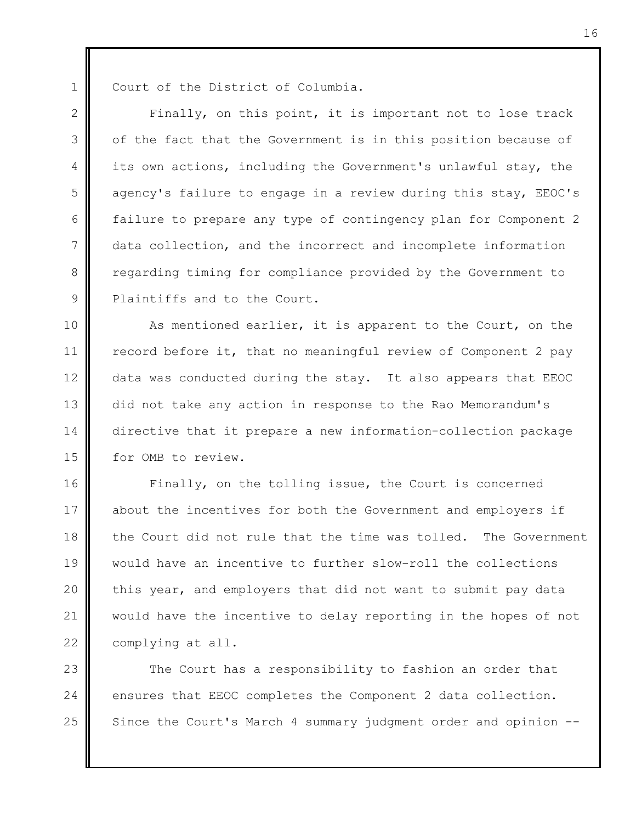1

Court of the District of Columbia.

 $\mathfrak{D}$ 3 4 5 6 7 8 9 Finally, on this point, it is important not to lose track of the fact that the Government is in this position because of its own actions, including the Government's unlawful stay, the agency's failure to engage in a review during this stay, EEOC's failure to prepare any type of contingency plan for Component 2 data collection, and the incorrect and incomplete information regarding timing for compliance provided by the Government to Plaintiffs and to the Court.

10 11 12 13 14 15 As mentioned earlier, it is apparent to the Court, on the record before it, that no meaningful review of Component 2 pay data was conducted during the stay. It also appears that EEOC did not take any action in response to the Rao Memorandum's directive that it prepare a new information-collection package for OMB to review.

16 17 18 19 20 21 22 Finally, on the tolling issue, the Court is concerned about the incentives for both the Government and employers if the Court did not rule that the time was tolled. The Government would have an incentive to further slow-roll the collections this year, and employers that did not want to submit pay data would have the incentive to delay reporting in the hopes of not complying at all.

23 24 25 The Court has a responsibility to fashion an order that ensures that EEOC completes the Component 2 data collection. Since the Court's March 4 summary judgment order and opinion --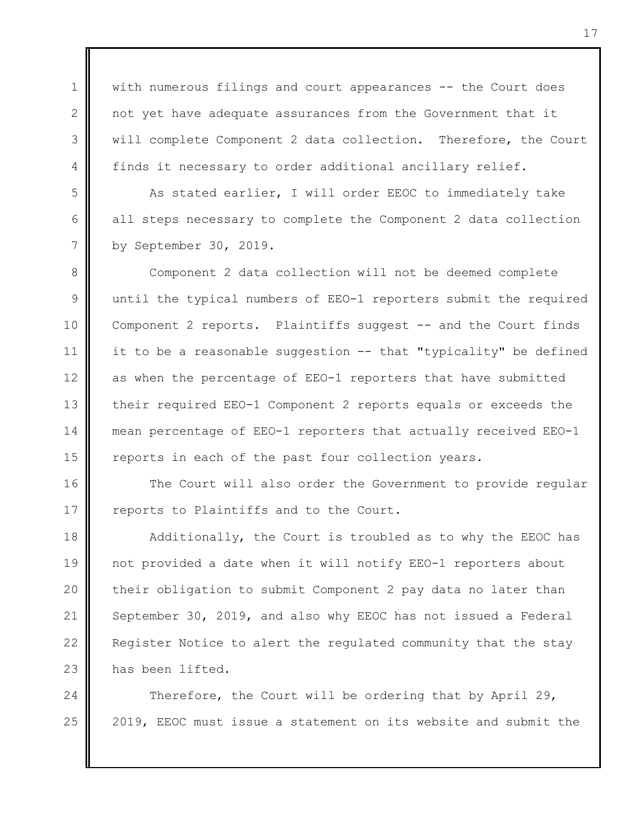with numerous filings and court appearances -- the Court does not yet have adequate assurances from the Government that it will complete Component 2 data collection. Therefore, the Court finds it necessary to order additional ancillary relief.

1

 $\mathcal{P}$ 

3

4

5

6

7

As stated earlier, I will order EEOC to immediately take all steps necessary to complete the Component 2 data collection by September 30, 2019.

8 9 10 11 12 13 14 15 Component 2 data collection will not be deemed complete until the typical numbers of EEO-1 reporters submit the required Component 2 reports. Plaintiffs suggest -- and the Court finds it to be a reasonable suggestion -- that "typicality" be defined as when the percentage of EEO-1 reporters that have submitted their required EEO-1 Component 2 reports equals or exceeds the mean percentage of EEO-1 reporters that actually received EEO-1 reports in each of the past four collection years.

16 17 The Court will also order the Government to provide regular reports to Plaintiffs and to the Court.

18 19 20 21 22 23 Additionally, the Court is troubled as to why the EEOC has not provided a date when it will notify EEO-1 reporters about their obligation to submit Component 2 pay data no later than September 30, 2019, and also why EEOC has not issued a Federal Register Notice to alert the regulated community that the stay has been lifted.

24 25 Therefore, the Court will be ordering that by April 29, 2019, EEOC must issue a statement on its website and submit the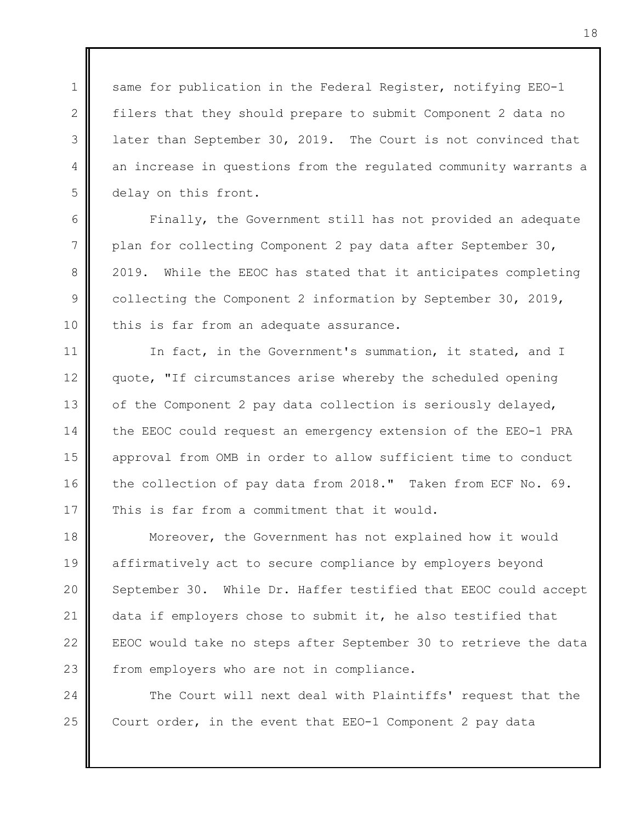same for publication in the Federal Register, notifying EEO-1 filers that they should prepare to submit Component 2 data no later than September 30, 2019. The Court is not convinced that an increase in questions from the regulated community warrants a delay on this front.

1

 $\mathcal{P}$ 

3

4

5

6

7

8

9

10

Finally, the Government still has not provided an adequate plan for collecting Component 2 pay data after September 30, 2019. While the EEOC has stated that it anticipates completing collecting the Component 2 information by September 30, 2019, this is far from an adequate assurance.

11 12 13 14 15 16 17 In fact, in the Government's summation, it stated, and I quote, "If circumstances arise whereby the scheduled opening of the Component 2 pay data collection is seriously delayed, the EEOC could request an emergency extension of the EEO-1 PRA approval from OMB in order to allow sufficient time to conduct the collection of pay data from 2018." Taken from ECF No. 69. This is far from a commitment that it would.

18 19 20 21 22 23 Moreover, the Government has not explained how it would affirmatively act to secure compliance by employers beyond September 30. While Dr. Haffer testified that EEOC could accept data if employers chose to submit it, he also testified that EEOC would take no steps after September 30 to retrieve the data from employers who are not in compliance.

24 25 The Court will next deal with Plaintiffs' request that the Court order, in the event that EEO-1 Component 2 pay data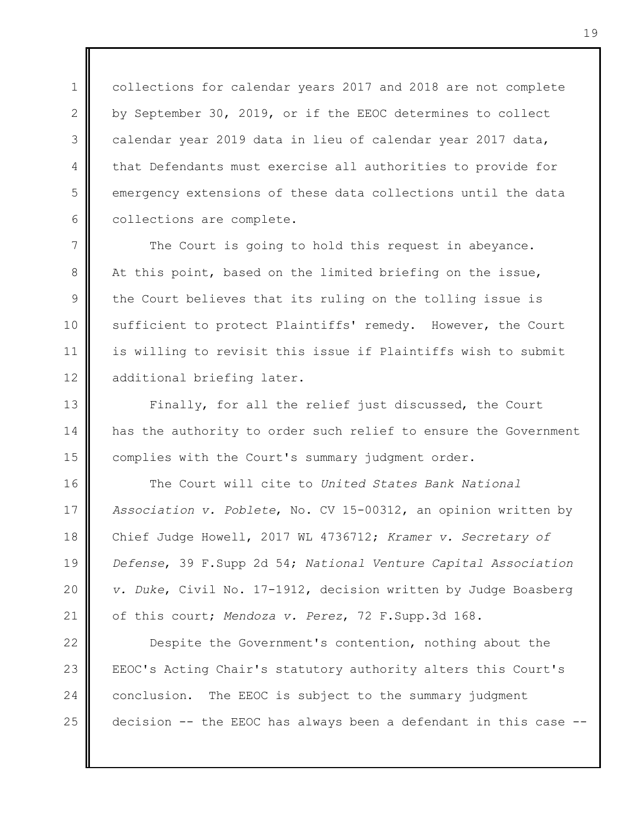collections for calendar years 2017 and 2018 are not complete by September 30, 2019, or if the EEOC determines to collect calendar year 2019 data in lieu of calendar year 2017 data, that Defendants must exercise all authorities to provide for emergency extensions of these data collections until the data collections are complete.

1

 $\mathcal{P}$ 

3

4

5

6

7 8 9 10 11 12 The Court is going to hold this request in abeyance. At this point, based on the limited briefing on the issue, the Court believes that its ruling on the tolling issue is sufficient to protect Plaintiffs' remedy. However, the Court is willing to revisit this issue if Plaintiffs wish to submit additional briefing later.

13 14 15 Finally, for all the relief just discussed, the Court has the authority to order such relief to ensure the Government complies with the Court's summary judgment order.

16 17 18 19 20 21 The Court will cite to *United States Bank National Association v. Poblete*, No. CV 15-00312, an opinion written by Chief Judge Howell, 2017 WL 4736712; *Kramer v. Secretary of Defense*, 39 F.Supp 2d 54; *National Venture Capital Association v. Duke*, Civil No. 17-1912, decision written by Judge Boasberg of this court; *Mendoza v. Perez*, 72 F.Supp.3d 168.

22 23 24 25 Despite the Government's contention, nothing about the EEOC's Acting Chair's statutory authority alters this Court's conclusion. The EEOC is subject to the summary judgment decision -- the EEOC has always been a defendant in this case --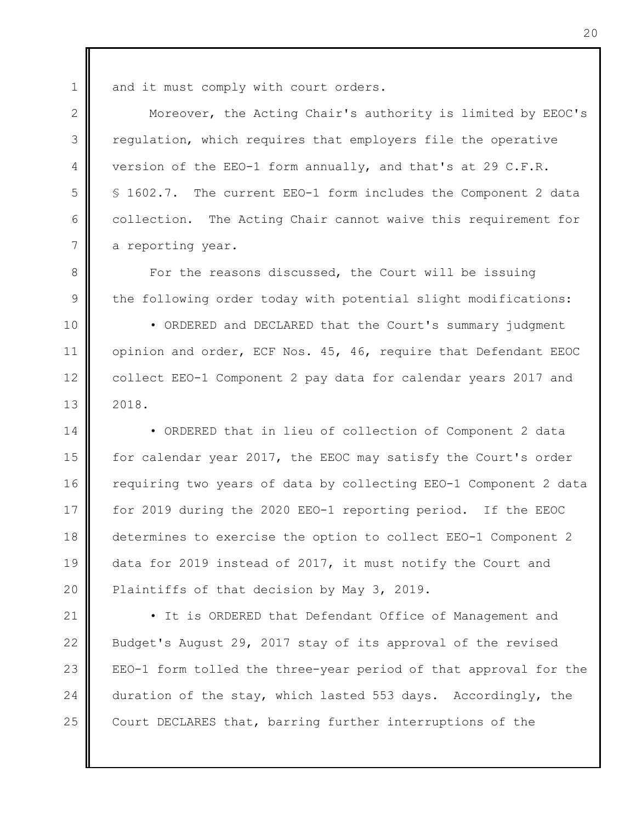1  $\mathcal{P}$ 

3

4

5

6

7

8

and it must comply with court orders.

Moreover, the Acting Chair's authority is limited by EEOC's regulation, which requires that employers file the operative version of the EEO-1 form annually, and that's at 29 C.F.R. § 1602.7. The current EEO-1 form includes the Component 2 data collection. The Acting Chair cannot waive this requirement for a reporting year.

9 For the reasons discussed, the Court will be issuing the following order today with potential slight modifications:

10 11 12 13 • ORDERED and DECLARED that the Court's summary judgment opinion and order, ECF Nos. 45, 46, require that Defendant EEOC collect EEO-1 Component 2 pay data for calendar years 2017 and 2018.

14 15 16 17 18 19 20 • ORDERED that in lieu of collection of Component 2 data for calendar year 2017, the EEOC may satisfy the Court's order requiring two years of data by collecting EEO-1 Component 2 data for 2019 during the 2020 EEO-1 reporting period. If the EEOC determines to exercise the option to collect EEO-1 Component 2 data for 2019 instead of 2017, it must notify the Court and Plaintiffs of that decision by May 3, 2019.

21 22 23 24 25 • It is ORDERED that Defendant Office of Management and Budget's August 29, 2017 stay of its approval of the revised EEO-1 form tolled the three-year period of that approval for the duration of the stay, which lasted 553 days. Accordingly, the Court DECLARES that, barring further interruptions of the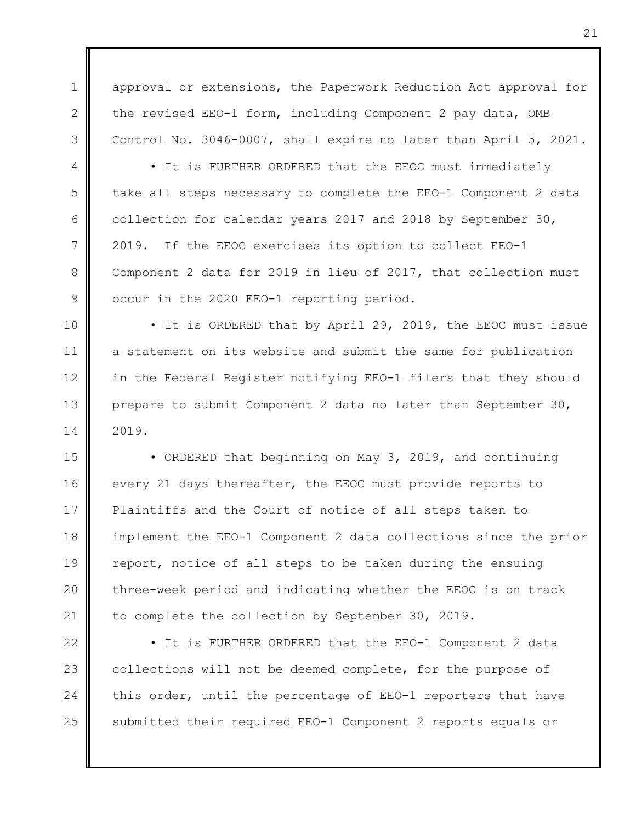1 2 3 approval or extensions, the Paperwork Reduction Act approval for the revised EEO-1 form, including Component 2 pay data, OMB Control No. 3046-0007, shall expire no later than April 5, 2021.

4

5

6

7

8

9

• It is FURTHER ORDERED that the EEOC must immediately take all steps necessary to complete the EEO-1 Component 2 data collection for calendar years 2017 and 2018 by September 30, 2019. If the EEOC exercises its option to collect EEO-1 Component 2 data for 2019 in lieu of 2017, that collection must occur in the 2020 EEO-1 reporting period.

10 11 12 13 14 • It is ORDERED that by April 29, 2019, the EEOC must issue a statement on its website and submit the same for publication in the Federal Register notifying EEO-1 filers that they should prepare to submit Component 2 data no later than September 30, 2019.

15 16 17 18 19 20 21 • ORDERED that beginning on May 3, 2019, and continuing every 21 days thereafter, the EEOC must provide reports to Plaintiffs and the Court of notice of all steps taken to implement the EEO-1 Component 2 data collections since the prior report, notice of all steps to be taken during the ensuing three-week period and indicating whether the EEOC is on track to complete the collection by September 30, 2019.

22 23 24 25 • It is FURTHER ORDERED that the EEO-1 Component 2 data collections will not be deemed complete, for the purpose of this order, until the percentage of EEO-1 reporters that have submitted their required EEO-1 Component 2 reports equals or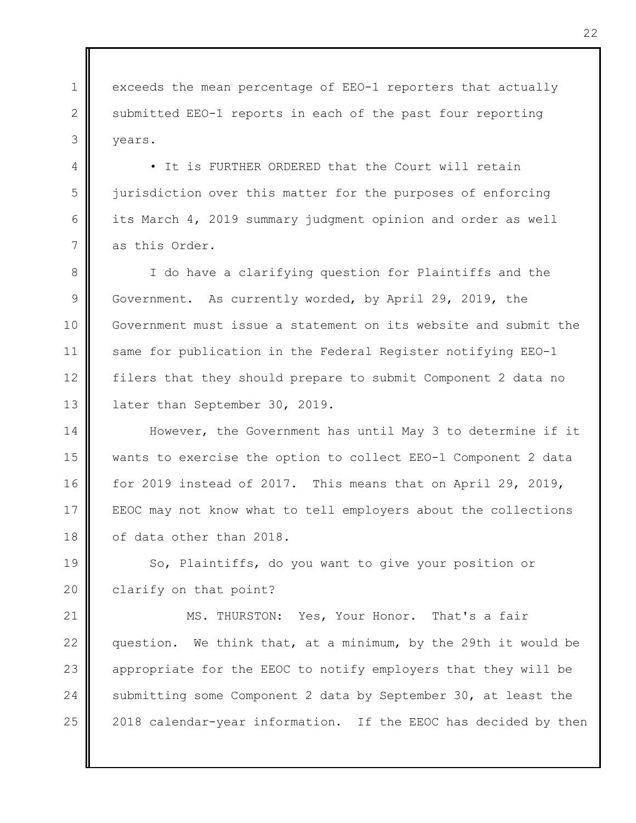1  $\mathcal{P}$ 3 exceeds the mean percentage of EEO-1 reporters that actually submitted EEO-1 reports in each of the past four reporting years.

• It is FURTHER ORDERED that the Court will retain jurisdiction over this matter for the purposes of enforcing its March 4, 2019 summary judgment opinion and order as well as this Order.

4

5

6

7

8 9 10 11 12 13 I do have a clarifying question for Plaintiffs and the Government. As currently worded, by April 29, 2019, the Government must issue a statement on its website and submit the same for publication in the Federal Register notifying EEO-1 filers that they should prepare to submit Component 2 data no later than September 30, 2019.

14 15 16 17 18 However, the Government has until May 3 to determine if it wants to exercise the option to collect EEO-1 Component 2 data for 2019 instead of 2017. This means that on April 29, 2019, EEOC may not know what to tell employers about the collections of data other than 2018.

19 20 So, Plaintiffs, do you want to give your position or clarify on that point?

21 22 23 24 25 MS. THURSTON: Yes, Your Honor. That's a fair question. We think that, at a minimum, by the 29th it would be appropriate for the EEOC to notify employers that they will be submitting some Component 2 data by September 30, at least the 2018 calendar-year information. If the EEOC has decided by then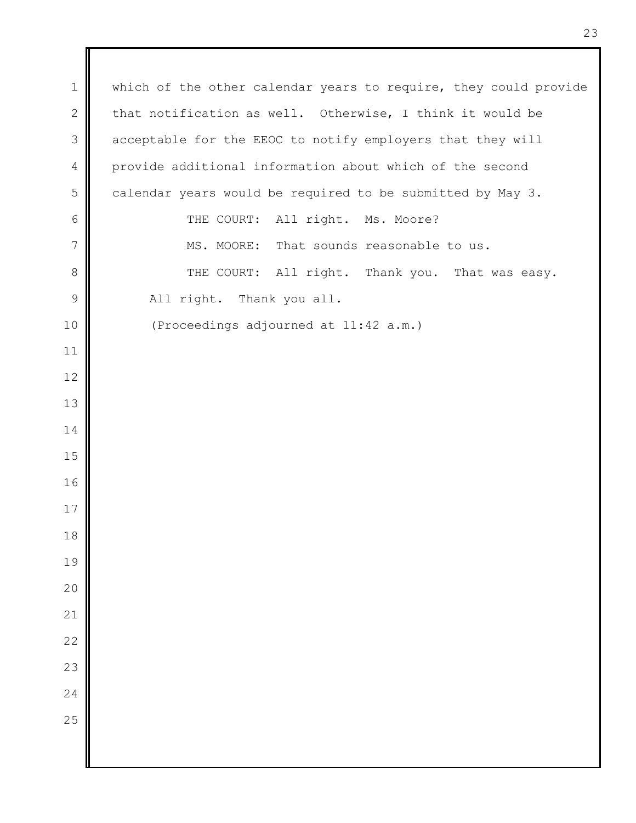which of the other calendar years to require, they could provide that notification as well. Otherwise, I think it would be acceptable for the EEOC to notify employers that they will provide additional information about which of the second calendar years would be required to be submitted by May 3. THE COURT: All right. Ms. Moore? MS. MOORE: That sounds reasonable to us. THE COURT: All right. Thank you. That was easy. All right. Thank you all. (Proceedings adjourned at 11:42 a.m.)